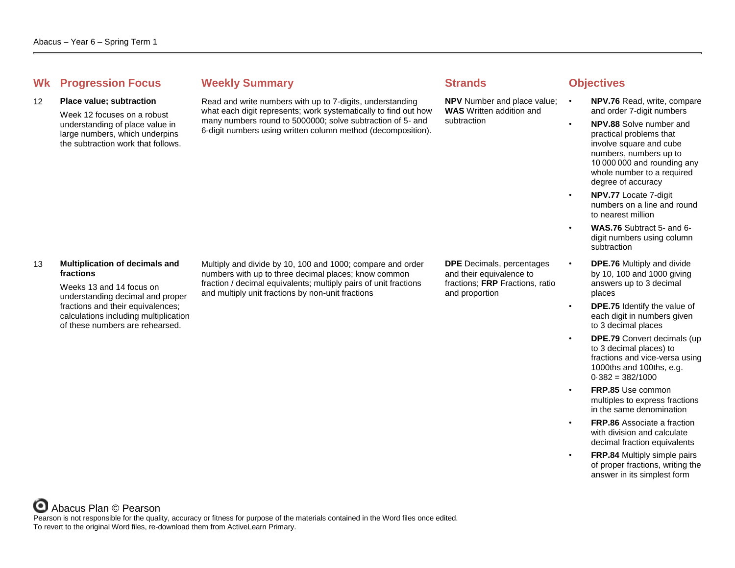## **Whenever Summary Weekly Summary Strands Objectives**

#### 12 **Place value; subtraction**

Week 12 focuses on a robust understanding of place value in large numbers, which underpins the subtraction work that follows.

Read and write numbers with up to 7-digits, understanding what each digit represents; work systematically to find out how many numbers round to 5000000; solve subtraction of 5- and 6-digit numbers using written column method (decomposition).

**NPV** Number and place value: • **WAS** Written addition and subtraction

- **NPV.76** Read, write, compare and order 7-digit numbers
- **NPV.88** Solve number and practical problems that involve square and cube numbers, numbers up to 10 000 000 and rounding any whole number to a required degree of accuracy
- **NPV.77** Locate 7-digit numbers on a line and round to nearest million
	- **WAS.76** Subtract 5- and 6 digit numbers using column subtraction
- **DPE.76** Multiply and divide by 10, 100 and 1000 giving answers up to 3 decimal places
- **DPE.75** Identify the value of each digit in numbers given to 3 decimal places
- **DPE.79** Convert decimals (up to 3 decimal places) to fractions and vice-versa using 1000ths and 100ths, e.g.  $0.382 = 382/1000$
- **FRP.85** Use common multiples to express fractions in the same denomination
- **FRP.86** Associate a fraction with division and calculate decimal fraction equivalents
- **FRP.84** Multiply simple pairs of proper fractions, writing the answer in its simplest form

### 13 **Multiplication of decimals and fractions**

Weeks 13 and 14 focus on understanding decimal and proper fractions and their equivalences; calculations including multiplication of these numbers are rehearsed.

Multiply and divide by 10, 100 and 1000; compare and order numbers with up to three decimal places; know common fraction / decimal equivalents; multiply pairs of unit fractions and multiply unit fractions by non-unit fractions

**DPE** Decimals, percentages and their equivalence to fractions; **FRP** Fractions, ratio and proportion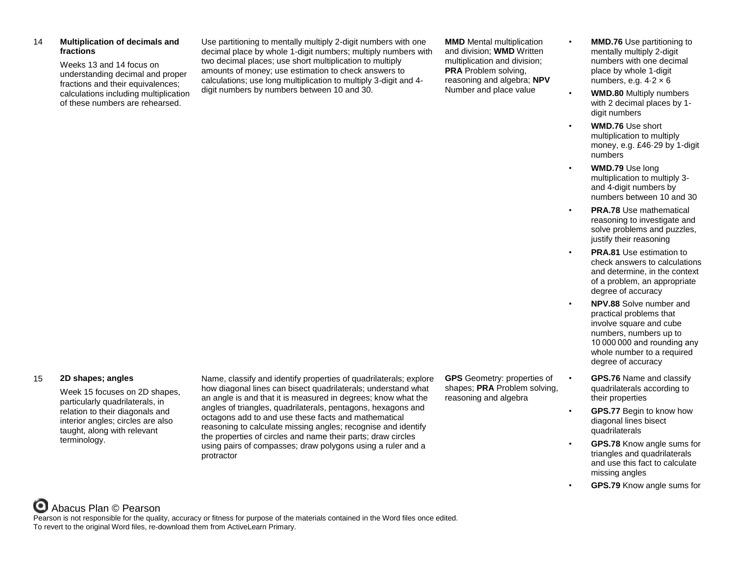### 14 **Multiplication of decimals and fractions**

Weeks 13 and 14 focus on understanding decimal and proper fractions and their equivalences; calculations including multiplication of these numbers are rehearsed.

Use partitioning to mentally multiply 2-digit numbers with one decimal place by whole 1-digit numbers; multiply numbers with two decimal places; use short multiplication to multiply amounts of money; use estimation to check answers to calculations; use long multiplication to multiply 3-digit and 4 digit numbers by numbers between 10 and 30.

**MMD** Mental multiplication and division; **WMD** Written multiplication and division; **PRA** Problem solving, reasoning and algebra; **NPV** Number and place value

- **MMD.76** Use partitioning to mentally multiply 2-digit numbers with one decimal place by whole 1-digit numbers, e.g.  $4.2 \times 6$
- **WMD.80** Multiply numbers with 2 decimal places by 1 digit numbers
- **WMD.76** Use short multiplication to multiply money, e.g. £46·29 by 1-digit numbers
	- **WMD.79** Use long multiplication to multiply 3 and 4-digit numbers by numbers between 10 and 30
- **PRA.78** Use mathematical reasoning to investigate and solve problems and puzzles, justify their reasoning
- **PRA.81** Use estimation to check answers to calculations and determine, in the context of a problem, an appropriate degree of accuracy
	- **NPV.88** Solve number and practical problems that involve square and cube numbers, numbers up to 10 000 000 and rounding any whole number to a required degree of accuracy
- **GPS.76** Name and classify quadrilaterals according to their properties
- **GPS.77** Begin to know how diagonal lines bisect quadrilaterals
- **GPS.78** Know angle sums for triangles and quadrilaterals and use this fact to calculate missing angles
- **GPS.79** Know angle sums for

#### 15 **2D shapes; angles**

Week 15 focuses on 2D shapes, particularly quadrilaterals, in relation to their diagonals and interior angles; circles are also taught, along with relevant terminology.

Name, classify and identify properties of quadrilaterals; explore how diagonal lines can bisect quadrilaterals; understand what an angle is and that it is measured in degrees; know what the angles of triangles, quadrilaterals, pentagons, hexagons and octagons add to and use these facts and mathematical reasoning to calculate missing angles; recognise and identify the properties of circles and name their parts; draw circles using pairs of compasses; draw polygons using a ruler and a protractor

**GPS** Geometry: properties of shapes; **PRA** Problem solving, reasoning and algebra

# Abacus Plan © Pearson

Pearson is not responsible for the quality, accuracy or fitness for purpose of the materials contained in the Word files once edited. To revert to the original Word files, re-download them from ActiveLearn Primary.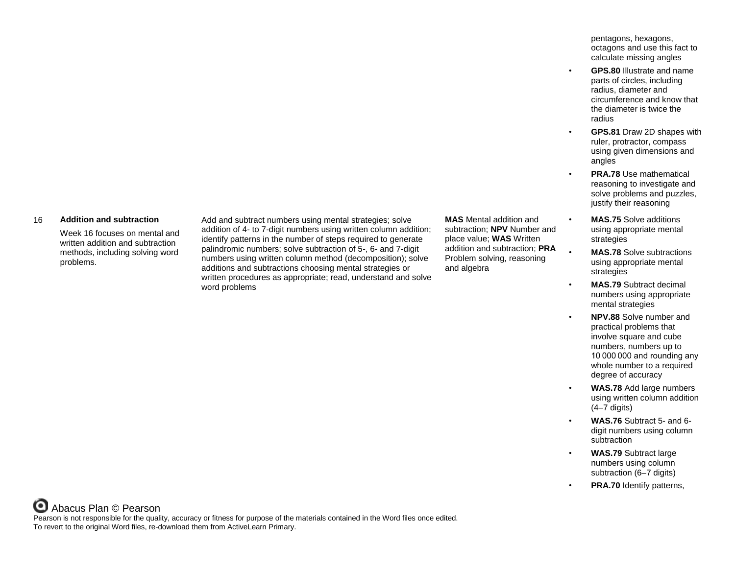pentagons, hexagons, octagons and use this fact to calculate missing angles

- **GPS.80** Illustrate and name parts of circles, including radius, diameter and circumference and know that the diameter is twice the radius
- **GPS.81** Draw 2D shapes with ruler, protractor, compass using given dimensions and angles
- **PRA.78** Use mathematical reasoning to investigate and solve problems and puzzles, justify their reasoning
- **MAS.75** Solve additions using appropriate mental strategies
- **MAS.78** Solve subtractions using appropriate mental strategies
- **MAS.79** Subtract decimal numbers using appropriate mental strategies
- **NPV.88** Solve number and practical problems that involve square and cube numbers, numbers up to 10 000 000 and rounding any whole number to a required degree of accuracy
- **WAS.78** Add large numbers using written column addition (4–7 digits)
- **WAS.76** Subtract 5- and 6 digit numbers using column subtraction
- **WAS.79** Subtract large numbers using column subtraction (6–7 digits)
- **PRA.70** Identify patterns,

#### 16 **Addition and subtraction**

Week 16 focuses on mental and written addition and subtraction methods, including solving word problems.

Add and subtract numbers using mental strategies; solve addition of 4- to 7-digit numbers using written column addition; identify patterns in the number of steps required to generate palindromic numbers; solve subtraction of 5-, 6- and 7-digit numbers using written column method (decomposition); solve additions and subtractions choosing mental strategies or written procedures as appropriate; read, understand and solve word problems

**MAS** Mental addition and subtraction; **NPV** Number and place value; **WAS** Written addition and subtraction; **PRA** Problem solving, reasoning and algebra

### Abacus Plan © Pearson Pearson is not responsible for the quality, accuracy or fitness for purpose of the materials contained in the Word files once edited. To revert to the original Word files, re-download them from ActiveLearn Primary.